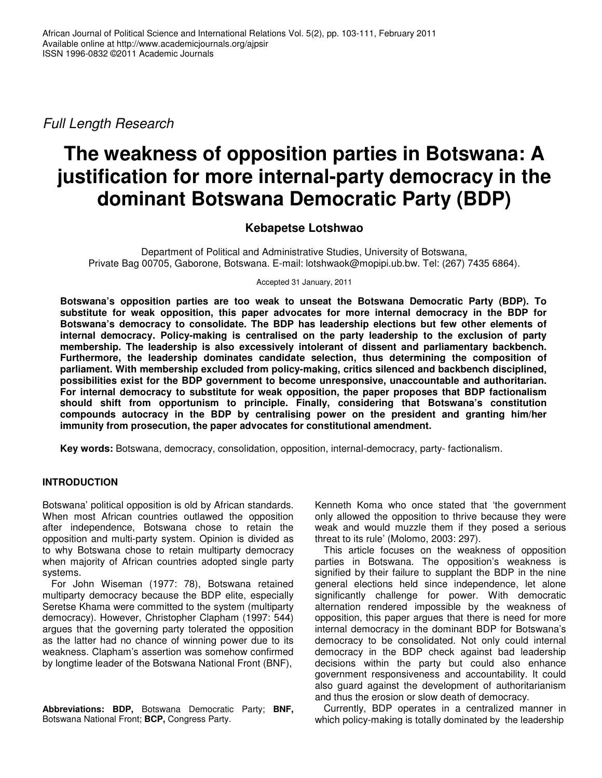*Full Length Research*

# **The weakness of opposition parties in Botswana: A justification for more internal-party democracy in the dominant Botswana Democratic Party (BDP)**

## **Kebapetse Lotshwao**

Department of Political and Administrative Studies, University of Botswana, Private Bag 00705, Gaborone, Botswana. E-mail: lotshwaok@mopipi.ub.bw. Tel: (267) 7435 6864).

Accepted 31 January, 2011

**Botswana's opposition parties are too weak to unseat the Botswana Democratic Party (BDP). To substitute for weak opposition, this paper advocates for more internal democracy in the BDP for Botswana's democracy to consolidate. The BDP has leadership elections but few other elements of internal democracy. Policy-making is centralised on the party leadership to the exclusion of party membership. The leadership is also excessively intolerant of dissent and parliamentary backbench. Furthermore, the leadership dominates candidate selection, thus determining the composition of parliament. With membership excluded from policy-making, critics silenced and backbench disciplined, possibilities exist for the BDP government to become unresponsive, unaccountable and authoritarian. For internal democracy to substitute for weak opposition, the paper proposes that BDP factionalism should shift from opportunism to principle. Finally, considering that Botswana's constitution compounds autocracy in the BDP by centralising power on the president and granting him/her immunity from prosecution, the paper advocates for constitutional amendment.**

**Key words:** Botswana, democracy, consolidation, opposition, internal-democracy, party- factionalism.

### **INTRODUCTION**

Botswana' political opposition is old by African standards. When most African countries outlawed the opposition after independence, Botswana chose to retain the opposition and multi-party system. Opinion is divided as to why Botswana chose to retain multiparty democracy when majority of African countries adopted single party systems.

For John Wiseman (1977: 78), Botswana retained multiparty democracy because the BDP elite, especially Seretse Khama were committed to the system (multiparty democracy). However, Christopher Clapham (1997: 544) argues that the governing party tolerated the opposition as the latter had no chance of winning power due to its weakness. Clapham's assertion was somehow confirmed by longtime leader of the Botswana National Front (BNF),

**Abbreviations: BDP,** Botswana Democratic Party; **BNF,** Botswana National Front; **BCP,** Congress Party.

Kenneth Koma who once stated that 'the government only allowed the opposition to thrive because they were weak and would muzzle them if they posed a serious threat to its rule' (Molomo, 2003: 297).

This article focuses on the weakness of opposition parties in Botswana. The opposition's weakness is signified by their failure to supplant the BDP in the nine general elections held since independence, let alone significantly challenge for power. With democratic alternation rendered impossible by the weakness of opposition, this paper argues that there is need for more internal democracy in the dominant BDP for Botswana's democracy to be consolidated. Not only could internal democracy in the BDP check against bad leadership decisions within the party but could also enhance government responsiveness and accountability. It could also guard against the development of authoritarianism and thus the erosion or slow death of democracy.

Currently, BDP operates in a centralized manner in which policy-making is totally dominated by the leadership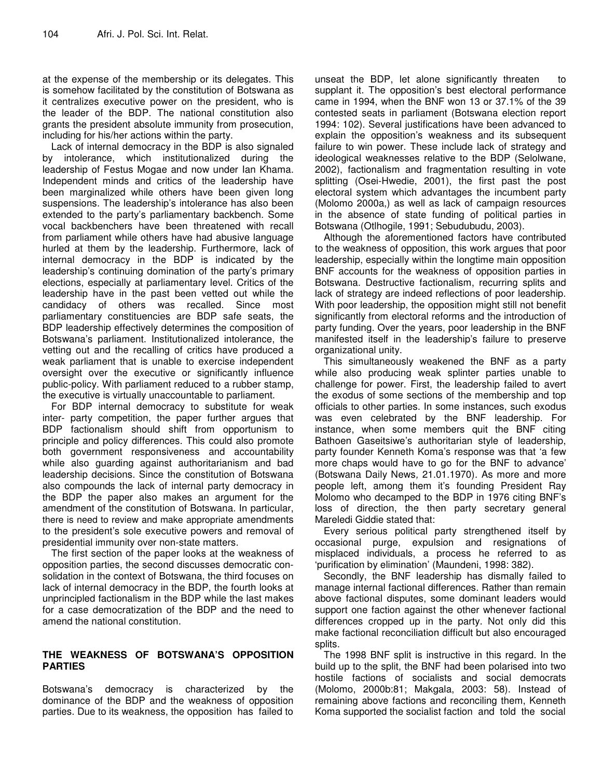at the expense of the membership or its delegates. This is somehow facilitated by the constitution of Botswana as it centralizes executive power on the president, who is the leader of the BDP. The national constitution also grants the president absolute immunity from prosecution, including for his/her actions within the party.

Lack of internal democracy in the BDP is also signaled by intolerance, which institutionalized during the leadership of Festus Mogae and now under Ian Khama. Independent minds and critics of the leadership have been marginalized while others have been given long suspensions. The leadership's intolerance has also been extended to the party's parliamentary backbench. Some vocal backbenchers have been threatened with recall from parliament while others have had abusive language hurled at them by the leadership. Furthermore, lack of internal democracy in the BDP is indicated by the leadership's continuing domination of the party's primary elections, especially at parliamentary level. Critics of the leadership have in the past been vetted out while the candidacy of others was recalled. Since most parliamentary constituencies are BDP safe seats, the BDP leadership effectively determines the composition of Botswana's parliament. Institutionalized intolerance, the vetting out and the recalling of critics have produced a weak parliament that is unable to exercise independent oversight over the executive or significantly influence public-policy. With parliament reduced to a rubber stamp, the executive is virtually unaccountable to parliament.

For BDP internal democracy to substitute for weak inter- party competition, the paper further argues that BDP factionalism should shift from opportunism to principle and policy differences. This could also promote both government responsiveness and accountability while also guarding against authoritarianism and bad leadership decisions. Since the constitution of Botswana also compounds the lack of internal party democracy in the BDP the paper also makes an argument for the amendment of the constitution of Botswana. In particular, there is need to review and make appropriate amendments to the president's sole executive powers and removal of presidential immunity over non-state matters.

The first section of the paper looks at the weakness of opposition parties, the second discusses democratic consolidation in the context of Botswana, the third focuses on lack of internal democracy in the BDP, the fourth looks at unprincipled factionalism in the BDP while the last makes for a case democratization of the BDP and the need to amend the national constitution.

#### **THE WEAKNESS OF BOTSWANA'S OPPOSITION PARTIES**

Botswana's democracy is characterized by the dominance of the BDP and the weakness of opposition parties. Due to its weakness, the opposition has failed to unseat the BDP, let alone significantly threaten to supplant it. The opposition's best electoral performance came in 1994, when the BNF won 13 or 37.1% of the 39 contested seats in parliament (Botswana election report 1994: 102). Several justifications have been advanced to explain the opposition's weakness and its subsequent failure to win power. These include lack of strategy and ideological weaknesses relative to the BDP (Selolwane, 2002), factionalism and fragmentation resulting in vote splitting (Osei-Hwedie, 2001), the first past the post electoral system which advantages the incumbent party (Molomo 2000a,) as well as lack of campaign resources in the absence of state funding of political parties in Botswana (Otlhogile, 1991; Sebudubudu, 2003).

Although the aforementioned factors have contributed to the weakness of opposition, this work argues that poor leadership, especially within the longtime main opposition BNF accounts for the weakness of opposition parties in Botswana. Destructive factionalism, recurring splits and lack of strategy are indeed reflections of poor leadership. With poor leadership, the opposition might still not benefit significantly from electoral reforms and the introduction of party funding. Over the years, poor leadership in the BNF manifested itself in the leadership's failure to preserve organizational unity.

This simultaneously weakened the BNF as a party while also producing weak splinter parties unable to challenge for power. First, the leadership failed to avert the exodus of some sections of the membership and top officials to other parties. In some instances, such exodus was even celebrated by the BNF leadership. For instance, when some members quit the BNF citing Bathoen Gaseitsiwe's authoritarian style of leadership, party founder Kenneth Koma's response was that 'a few more chaps would have to go for the BNF to advance' (Botswana Daily News*,* 21.01.1970)*.* As more and more people left, among them it's founding President Ray Molomo who decamped to the BDP in 1976 citing BNF's loss of direction, the then party secretary general Mareledi Giddie stated that:

Every serious political party strengthened itself by occasional purge, expulsion and resignations of misplaced individuals, a process he referred to as 'purification by elimination' (Maundeni, 1998: 382).

Secondly, the BNF leadership has dismally failed to manage internal factional differences. Rather than remain above factional disputes, some dominant leaders would support one faction against the other whenever factional differences cropped up in the party. Not only did this make factional reconciliation difficult but also encouraged splits.

The 1998 BNF split is instructive in this regard. In the build up to the split, the BNF had been polarised into two hostile factions of socialists and social democrats (Molomo, 2000b:81; Makgala, 2003: 58). Instead of remaining above factions and reconciling them, Kenneth Koma supported the socialist faction and told the social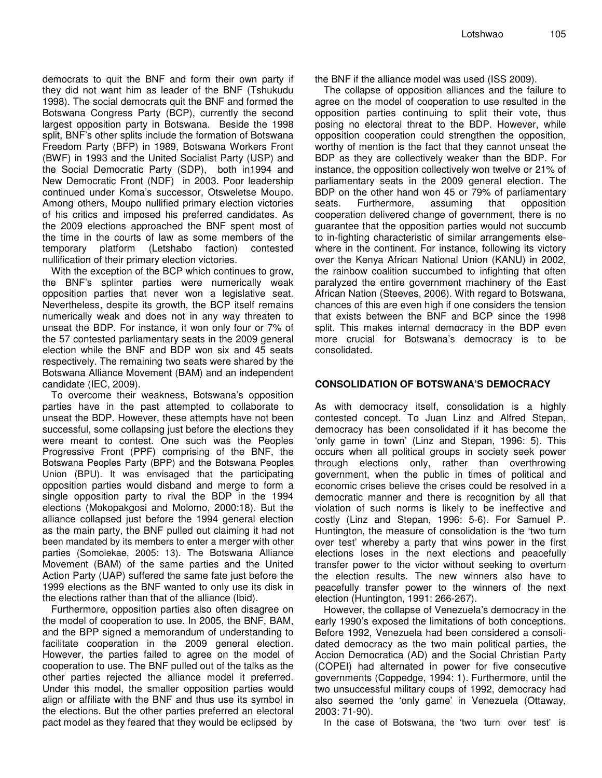democrats to quit the BNF and form their own party if they did not want him as leader of the BNF (Tshukudu 1998). The social democrats quit the BNF and formed the Botswana Congress Party (BCP), currently the second largest opposition party in Botswana. Beside the 1998 split, BNF's other splits include the formation of Botswana Freedom Party (BFP) in 1989, Botswana Workers Front (BWF) in 1993 and the United Socialist Party (USP) and the Social Democratic Party (SDP), both in1994 and New Democratic Front (NDF) in 2003. Poor leadership continued under Koma's successor, Otsweletse Moupo. Among others, Moupo nullified primary election victories of his critics and imposed his preferred candidates. As the 2009 elections approached the BNF spent most of the time in the courts of law as some members of the temporary platform (Letshabo faction) contested nullification of their primary election victories.

With the exception of the BCP which continues to grow, the BNF's splinter parties were numerically weak opposition parties that never won a legislative seat. Nevertheless, despite its growth, the BCP itself remains numerically weak and does not in any way threaten to unseat the BDP. For instance, it won only four or 7% of the 57 contested parliamentary seats in the 2009 general election while the BNF and BDP won six and 45 seats respectively. The remaining two seats were shared by the Botswana Alliance Movement (BAM) and an independent candidate (IEC, 2009).

To overcome their weakness, Botswana's opposition parties have in the past attempted to collaborate to unseat the BDP. However, these attempts have not been successful, some collapsing just before the elections they were meant to contest. One such was the Peoples Progressive Front (PPF) comprising of the BNF, the Botswana Peoples Party (BPP) and the Botswana Peoples Union (BPU). It was envisaged that the participating opposition parties would disband and merge to form a single opposition party to rival the BDP in the 1994 elections (Mokopakgosi and Molomo, 2000:18). But the alliance collapsed just before the 1994 general election as the main party, the BNF pulled out claiming it had not been mandated by its members to enter a merger with other parties (Somolekae, 2005: 13). The Botswana Alliance Movement (BAM) of the same parties and the United Action Party (UAP) suffered the same fate just before the 1999 elections as the BNF wanted to only use its disk in the elections rather than that of the alliance (Ibid).

Furthermore, opposition parties also often disagree on the model of cooperation to use. In 2005, the BNF, BAM, and the BPP signed a memorandum of understanding to facilitate cooperation in the 2009 general election. However, the parties failed to agree on the model of cooperation to use. The BNF pulled out of the talks as the other parties rejected the alliance model it preferred. Under this model, the smaller opposition parties would align or affiliate with the BNF and thus use its symbol in the elections. But the other parties preferred an electoral pact model as they feared that they would be eclipsed by the BNF if the alliance model was used (ISS 2009).

The collapse of opposition alliances and the failure to agree on the model of cooperation to use resulted in the opposition parties continuing to split their vote, thus posing no electoral threat to the BDP. However, while opposition cooperation could strengthen the opposition, worthy of mention is the fact that they cannot unseat the BDP as they are collectively weaker than the BDP. For instance, the opposition collectively won twelve or 21% of parliamentary seats in the 2009 general election. The BDP on the other hand won 45 or 79% of parliamentary seats. Furthermore, assuming that opposition cooperation delivered change of government, there is no guarantee that the opposition parties would not succumb to in-fighting characteristic of similar arrangements elsewhere in the continent. For instance, following its victory over the Kenya African National Union (KANU) in 2002, the rainbow coalition succumbed to infighting that often paralyzed the entire government machinery of the East African Nation (Steeves, 2006). With regard to Botswana, chances of this are even high if one considers the tension that exists between the BNF and BCP since the 1998 split. This makes internal democracy in the BDP even more crucial for Botswana's democracy is to be consolidated.

#### **CONSOLIDATION OF BOTSWANA'S DEMOCRACY**

As with democracy itself, consolidation is a highly contested concept. To Juan Linz and Alfred Stepan, democracy has been consolidated if it has become the 'only game in town' (Linz and Stepan, 1996: 5). This occurs when all political groups in society seek power through elections only, rather than overthrowing government, when the public in times of political and economic crises believe the crises could be resolved in a democratic manner and there is recognition by all that violation of such norms is likely to be ineffective and costly (Linz and Stepan, 1996: 5-6). For Samuel P. Huntington, the measure of consolidation is the 'two turn over test' whereby a party that wins power in the first elections loses in the next elections and peacefully transfer power to the victor without seeking to overturn the election results. The new winners also have to peacefully transfer power to the winners of the next election (Huntington, 1991: 266-267).

However, the collapse of Venezuela's democracy in the early 1990's exposed the limitations of both conceptions. Before 1992, Venezuela had been considered a consolidated democracy as the two main political parties, the Accion Democratica (AD) and the Social Christian Party (COPEI) had alternated in power for five consecutive governments (Coppedge, 1994: 1). Furthermore, until the two unsuccessful military coups of 1992, democracy had also seemed the 'only game' in Venezuela (Ottaway, 2003: 71-90).

In the case of Botswana, the 'two turn over test' is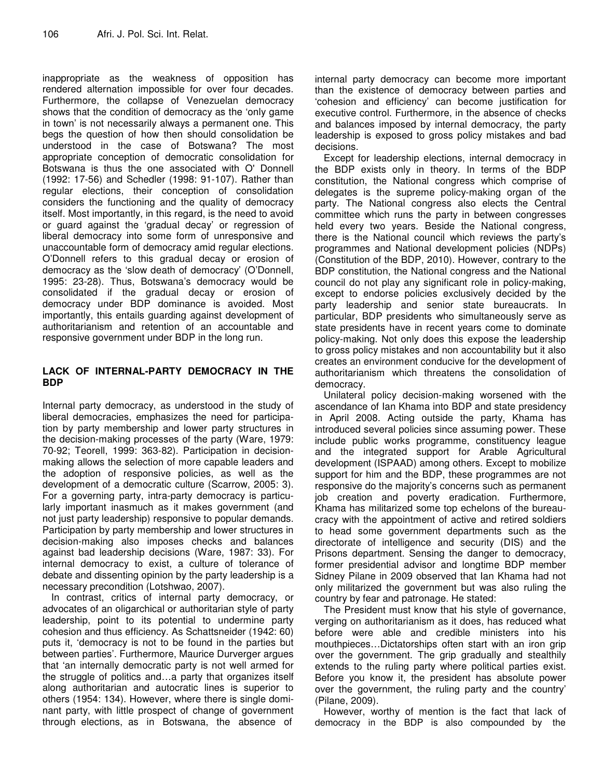inappropriate as the weakness of opposition has rendered alternation impossible for over four decades. Furthermore, the collapse of Venezuelan democracy shows that the condition of democracy as the 'only game in town' is not necessarily always a permanent one. This begs the question of how then should consolidation be understood in the case of Botswana? The most appropriate conception of democratic consolidation for Botswana is thus the one associated with O' Donnell (1992: 17-56) and Schedler (1998: 91-107). Rather than regular elections, their conception of consolidation considers the functioning and the quality of democracy itself. Most importantly, in this regard, is the need to avoid or guard against the 'gradual decay' or regression of liberal democracy into some form of unresponsive and unaccountable form of democracy amid regular elections. O'Donnell refers to this gradual decay or erosion of democracy as the 'slow death of democracy' (O'Donnell, 1995: 23-28). Thus, Botswana's democracy would be consolidated if the gradual decay or erosion of democracy under BDP dominance is avoided. Most importantly, this entails guarding against development of authoritarianism and retention of an accountable and responsive government under BDP in the long run.

#### **LACK OF INTERNAL-PARTY DEMOCRACY IN THE BDP**

Internal party democracy, as understood in the study of liberal democracies, emphasizes the need for participation by party membership and lower party structures in the decision-making processes of the party (Ware, 1979: 70-92; Teorell, 1999: 363-82). Participation in decisionmaking allows the selection of more capable leaders and the adoption of responsive policies, as well as the development of a democratic culture (Scarrow, 2005: 3). For a governing party, intra-party democracy is particularly important inasmuch as it makes government (and not just party leadership) responsive to popular demands. Participation by party membership and lower structures in decision-making also imposes checks and balances against bad leadership decisions (Ware, 1987: 33). For internal democracy to exist, a culture of tolerance of debate and dissenting opinion by the party leadership is a necessary precondition (Lotshwao, 2007).

In contrast, critics of internal party democracy, or advocates of an oligarchical or authoritarian style of party leadership, point to its potential to undermine party cohesion and thus efficiency. As Schattsneider (1942: 60) puts it, 'democracy is not to be found in the parties but between parties'. Furthermore, Maurice Durverger argues that 'an internally democratic party is not well armed for the struggle of politics and…a party that organizes itself along authoritarian and autocratic lines is superior to others (1954: 134). However, where there is single dominant party, with little prospect of change of government through elections, as in Botswana, the absence of internal party democracy can become more important than the existence of democracy between parties and 'cohesion and efficiency' can become justification for executive control. Furthermore, in the absence of checks and balances imposed by internal democracy, the party leadership is exposed to gross policy mistakes and bad decisions.

Except for leadership elections, internal democracy in the BDP exists only in theory. In terms of the BDP constitution, the National congress which comprise of delegates is the supreme policy-making organ of the party. The National congress also elects the Central committee which runs the party in between congresses held every two years. Beside the National congress, there is the National council which reviews the party's programmes and National development policies (NDPs) (Constitution of the BDP, 2010). However, contrary to the BDP constitution, the National congress and the National council do not play any significant role in policy-making, except to endorse policies exclusively decided by the party leadership and senior state bureaucrats. In particular, BDP presidents who simultaneously serve as state presidents have in recent years come to dominate policy-making. Not only does this expose the leadership to gross policy mistakes and non accountability but it also creates an environment conducive for the development of authoritarianism which threatens the consolidation of democracy.

Unilateral policy decision-making worsened with the ascendance of Ian Khama into BDP and state presidency in April 2008. Acting outside the party, Khama has introduced several policies since assuming power. These include public works programme, constituency league and the integrated support for Arable Agricultural development (ISPAAD) among others. Except to mobilize support for him and the BDP, these programmes are not responsive do the majority's concerns such as permanent job creation and poverty eradication. Furthermore, Khama has militarized some top echelons of the bureaucracy with the appointment of active and retired soldiers to head some government departments such as the directorate of intelligence and security (DIS) and the Prisons department. Sensing the danger to democracy, former presidential advisor and longtime BDP member Sidney Pilane in 2009 observed that Ian Khama had not only militarized the government but was also ruling the country by fear and patronage. He stated:

The President must know that his style of governance, verging on authoritarianism as it does, has reduced what before were able and credible ministers into his mouthpieces…Dictatorships often start with an iron grip over the government. The grip gradually and stealthily extends to the ruling party where political parties exist. Before you know it, the president has absolute power over the government, the ruling party and the country' (Pilane, 2009).

However, worthy of mention is the fact that lack of democracy in the BDP is also compounded by the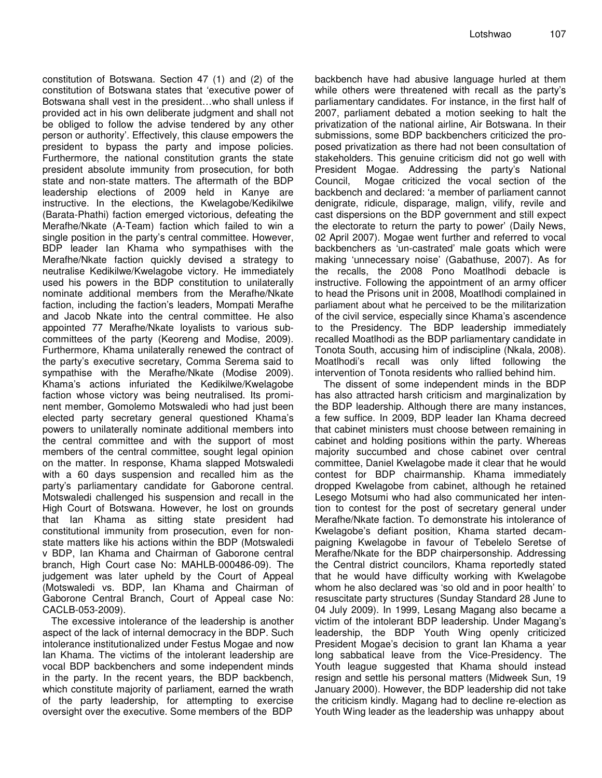constitution of Botswana. Section 47 (1) and (2) of the constitution of Botswana states that 'executive power of Botswana shall vest in the president…who shall unless if provided act in his own deliberate judgment and shall not be obliged to follow the advise tendered by any other person or authority'. Effectively, this clause empowers the president to bypass the party and impose policies. Furthermore, the national constitution grants the state president absolute immunity from prosecution, for both state and non-state matters. The aftermath of the BDP leadership elections of 2009 held in Kanye are instructive. In the elections, the Kwelagobe/Kedikilwe (Barata-Phathi) faction emerged victorious, defeating the Merafhe/Nkate (A-Team) faction which failed to win a single position in the party's central committee. However, BDP leader Ian Khama who sympathises with the Merafhe/Nkate faction quickly devised a strategy to neutralise Kedikilwe/Kwelagobe victory. He immediately used his powers in the BDP constitution to unilaterally nominate additional members from the Merafhe/Nkate faction, including the faction's leaders, Mompati Merafhe and Jacob Nkate into the central committee. He also appointed 77 Merafhe/Nkate loyalists to various subcommittees of the party (Keoreng and Modise, 2009). Furthermore, Khama unilaterally renewed the contract of the party's executive secretary, Comma Serema said to sympathise with the Merafhe/Nkate (Modise 2009). Khama's actions infuriated the Kedikilwe/Kwelagobe faction whose victory was being neutralised. Its prominent member, Gomolemo Motswaledi who had just been elected party secretary general questioned Khama's powers to unilaterally nominate additional members into the central committee and with the support of most members of the central committee, sought legal opinion on the matter. In response, Khama slapped Motswaledi with a 60 days suspension and recalled him as the party's parliamentary candidate for Gaborone central. Motswaledi challenged his suspension and recall in the High Court of Botswana. However, he lost on grounds that Ian Khama as sitting state president had constitutional immunity from prosecution, even for nonstate matters like his actions within the BDP (Motswaledi v BDP, Ian Khama and Chairman of Gaborone central branch, High Court case No: MAHLB-000486-09). The judgement was later upheld by the Court of Appeal (Motswaledi vs. BDP, Ian Khama and Chairman of Gaborone Central Branch, Court of Appeal case No: CACLB-053-2009).

The excessive intolerance of the leadership is another aspect of the lack of internal democracy in the BDP. Such intolerance institutionalized under Festus Mogae and now Ian Khama. The victims of the intolerant leadership are vocal BDP backbenchers and some independent minds in the party. In the recent years, the BDP backbench, which constitute majority of parliament, earned the wrath of the party leadership, for attempting to exercise oversight over the executive. Some members of the BDP

backbench have had abusive language hurled at them while others were threatened with recall as the party's parliamentary candidates. For instance, in the first half of 2007, parliament debated a motion seeking to halt the privatization of the national airline, Air Botswana. In their submissions, some BDP backbenchers criticized the proposed privatization as there had not been consultation of stakeholders. This genuine criticism did not go well with President Mogae. Addressing the party's National Council, Mogae criticized the vocal section of the backbench and declared: 'a member of parliament cannot denigrate, ridicule, disparage, malign, vilify, revile and cast dispersions on the BDP government and still expect the electorate to return the party to power' (Daily News, 02 April 2007). Mogae went further and referred to vocal backbenchers as 'un-castrated' male goats which were making 'unnecessary noise' (Gabathuse, 2007). As for the recalls, the 2008 Pono Moatlhodi debacle is instructive. Following the appointment of an army officer to head the Prisons unit in 2008, Moatlhodi complained in parliament about what he perceived to be the militarization of the civil service, especially since Khama's ascendence to the Presidency. The BDP leadership immediately recalled Moatlhodi as the BDP parliamentary candidate in Tonota South, accusing him of indiscipline (Nkala, 2008). Moatlhodi's recall was only lifted following the intervention of Tonota residents who rallied behind him.

The dissent of some independent minds in the BDP has also attracted harsh criticism and marginalization by the BDP leadership. Although there are many instances, a few suffice. In 2009, BDP leader Ian Khama decreed that cabinet ministers must choose between remaining in cabinet and holding positions within the party. Whereas majority succumbed and chose cabinet over central committee, Daniel Kwelagobe made it clear that he would contest for BDP chairmanship. Khama immediately dropped Kwelagobe from cabinet, although he retained Lesego Motsumi who had also communicated her intention to contest for the post of secretary general under Merafhe/Nkate faction. To demonstrate his intolerance of Kwelagobe's defiant position, Khama started decampaigning Kwelagobe in favour of Tebelelo Seretse of Merafhe/Nkate for the BDP chairpersonship. Addressing the Central district councilors, Khama reportedly stated that he would have difficulty working with Kwelagobe whom he also declared was 'so old and in poor health' to resuscitate party structures (Sunday Standard 28 June to 04 July 2009). In 1999, Lesang Magang also became a victim of the intolerant BDP leadership. Under Magang's leadership, the BDP Youth Wing openly criticized President Mogae's decision to grant Ian Khama a year long sabbatical leave from the Vice-Presidency. The Youth league suggested that Khama should instead resign and settle his personal matters (Midweek Sun, 19 January 2000). However, the BDP leadership did not take the criticism kindly. Magang had to decline re-election as Youth Wing leader as the leadership was unhappy about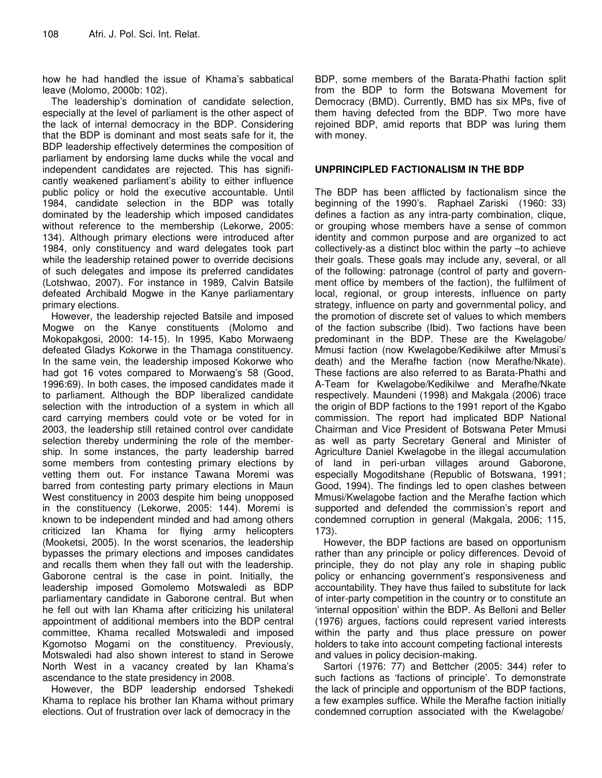how he had handled the issue of Khama's sabbatical leave (Molomo, 2000b: 102).

The leadership's domination of candidate selection, especially at the level of parliament is the other aspect of the lack of internal democracy in the BDP. Considering that the BDP is dominant and most seats safe for it, the BDP leadership effectively determines the composition of parliament by endorsing lame ducks while the vocal and independent candidates are rejected. This has significantly weakened parliament's ability to either influence public policy or hold the executive accountable. Until 1984, candidate selection in the BDP was totally dominated by the leadership which imposed candidates without reference to the membership (Lekorwe, 2005: 134). Although primary elections were introduced after 1984, only constituency and ward delegates took part while the leadership retained power to override decisions of such delegates and impose its preferred candidates (Lotshwao, 2007). For instance in 1989, Calvin Batsile defeated Archibald Mogwe in the Kanye parliamentary primary elections.

However, the leadership rejected Batsile and imposed Mogwe on the Kanye constituents (Molomo and Mokopakgosi, 2000: 14-15). In 1995, Kabo Morwaeng defeated Gladys Kokorwe in the Thamaga constituency. In the same vein, the leadership imposed Kokorwe who had got 16 votes compared to Morwaeng's 58 (Good, 1996:69). In both cases, the imposed candidates made it to parliament. Although the BDP liberalized candidate selection with the introduction of a system in which all card carrying members could vote or be voted for in 2003, the leadership still retained control over candidate selection thereby undermining the role of the membership. In some instances, the party leadership barred some members from contesting primary elections by vetting them out. For instance Tawana Moremi was barred from contesting party primary elections in Maun West constituency in 2003 despite him being unopposed in the constituency (Lekorwe, 2005: 144). Moremi is known to be independent minded and had among others criticized Ian Khama for flying army helicopters (Mooketsi, 2005). In the worst scenarios, the leadership bypasses the primary elections and imposes candidates and recalls them when they fall out with the leadership. Gaborone central is the case in point. Initially, the leadership imposed Gomolemo Motswaledi as BDP parliamentary candidate in Gaborone central. But when he fell out with Ian Khama after criticizing his unilateral appointment of additional members into the BDP central committee, Khama recalled Motswaledi and imposed Kgomotso Mogami on the constituency. Previously, Motswaledi had also shown interest to stand in Serowe North West in a vacancy created by Ian Khama's ascendance to the state presidency in 2008.

However, the BDP leadership endorsed Tshekedi Khama to replace his brother Ian Khama without primary elections. Out of frustration over lack of democracy in the

BDP, some members of the Barata-Phathi faction split from the BDP to form the Botswana Movement for Democracy (BMD). Currently, BMD has six MPs, five of them having defected from the BDP. Two more have rejoined BDP, amid reports that BDP was luring them with money.

#### **UNPRINCIPLED FACTIONALISM IN THE BDP**

The BDP has been afflicted by factionalism since the beginning of the 1990's. Raphael Zariski (1960: 33) defines a faction as any intra-party combination, clique, or grouping whose members have a sense of common identity and common purpose and are organized to act collectively-as a distinct bloc within the party –to achieve their goals. These goals may include any, several, or all of the following: patronage (control of party and government office by members of the faction), the fulfilment of local, regional, or group interests, influence on party strategy, influence on party and governmental policy, and the promotion of discrete set of values to which members of the faction subscribe (Ibid). Two factions have been predominant in the BDP. These are the Kwelagobe/ Mmusi faction (now Kwelagobe/Kedikilwe after Mmusi's death) and the Merafhe faction (now Merafhe/Nkate). These factions are also referred to as Barata-Phathi and A-Team for Kwelagobe/Kedikilwe and Merafhe/Nkate respectively. Maundeni (1998) and Makgala (2006) trace the origin of BDP factions to the 1991 report of the Kgabo commission. The report had implicated BDP National Chairman and Vice President of Botswana Peter Mmusi as well as party Secretary General and Minister of Agriculture Daniel Kwelagobe in the illegal accumulation of land in peri-urban villages around Gaborone, especially Mogoditshane (Republic of Botswana, 1991; Good, 1994). The findings led to open clashes between Mmusi/Kwelagobe faction and the Merafhe faction which supported and defended the commission's report and condemned corruption in general (Makgala, 2006; 115, 173).

However, the BDP factions are based on opportunism rather than any principle or policy differences. Devoid of principle, they do not play any role in shaping public policy or enhancing government's responsiveness and accountability. They have thus failed to substitute for lack of inter-party competition in the country or to constitute an 'internal opposition' within the BDP. As Belloni and Beller (1976) argues, factions could represent varied interests within the party and thus place pressure on power holders to take into account competing factional interests and values in policy decision-making.

Sartori (1976: 77) and Bettcher (2005: 344) refer to such factions as 'factions of principle'. To demonstrate the lack of principle and opportunism of the BDP factions, a few examples suffice. While the Merafhe faction initially condemned corruption associated with the Kwelagobe/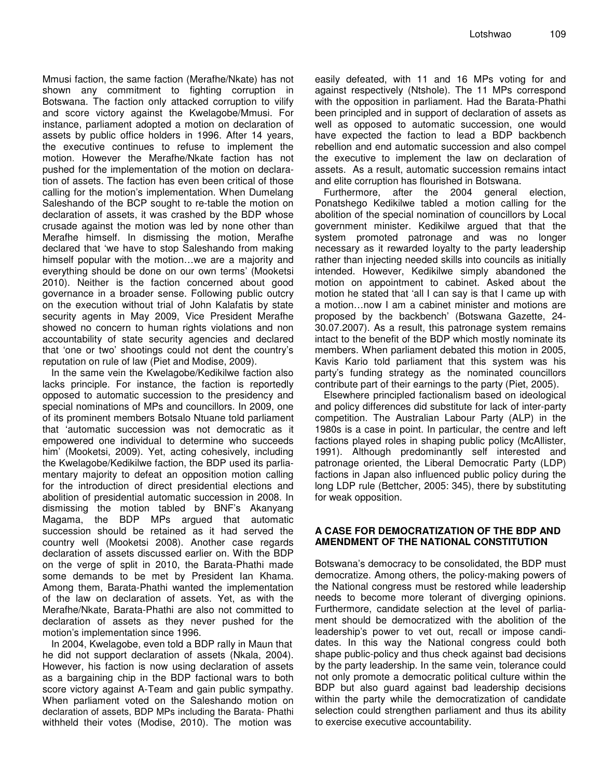Mmusi faction, the same faction (Merafhe/Nkate) has not shown any commitment to fighting corruption in Botswana. The faction only attacked corruption to vilify and score victory against the Kwelagobe/Mmusi. For instance, parliament adopted a motion on declaration of assets by public office holders in 1996. After 14 years, the executive continues to refuse to implement the motion. However the Merafhe/Nkate faction has not pushed for the implementation of the motion on declaration of assets. The faction has even been critical of those calling for the motion's implementation. When Dumelang Saleshando of the BCP sought to re-table the motion on declaration of assets, it was crashed by the BDP whose crusade against the motion was led by none other than Merafhe himself. In dismissing the motion, Merafhe declared that 'we have to stop Saleshando from making himself popular with the motion…we are a majority and everything should be done on our own terms' (Mooketsi 2010). Neither is the faction concerned about good governance in a broader sense. Following public outcry on the execution without trial of John Kalafatis by state security agents in May 2009, Vice President Merafhe showed no concern to human rights violations and non accountability of state security agencies and declared that 'one or two' shootings could not dent the country's reputation on rule of law (Piet and Modise, 2009).

In the same vein the Kwelagobe/Kedikilwe faction also lacks principle. For instance, the faction is reportedly opposed to automatic succession to the presidency and special nominations of MPs and councillors. In 2009, one of its prominent members Botsalo Ntuane told parliament that 'automatic succession was not democratic as it empowered one individual to determine who succeeds him' (Mooketsi, 2009). Yet, acting cohesively, including the Kwelagobe/Kedikilwe faction, the BDP used its parliamentary majority to defeat an opposition motion calling for the introduction of direct presidential elections and abolition of presidential automatic succession in 2008. In dismissing the motion tabled by BNF's Akanyang Magama, the BDP MPs argued that automatic succession should be retained as it had served the country well (Mooketsi 2008). Another case regards declaration of assets discussed earlier on. With the BDP on the verge of split in 2010, the Barata-Phathi made some demands to be met by President Ian Khama. Among them, Barata-Phathi wanted the implementation of the law on declaration of assets. Yet, as with the Merafhe/Nkate, Barata-Phathi are also not committed to declaration of assets as they never pushed for the motion's implementation since 1996.

In 2004, Kwelagobe, even told a BDP rally in Maun that he did not support declaration of assets (Nkala, 2004). However, his faction is now using declaration of assets as a bargaining chip in the BDP factional wars to both score victory against A-Team and gain public sympathy. When parliament voted on the Saleshando motion on declaration of assets, BDP MPs including the Barata- Phathi withheld their votes (Modise, 2010). The motion was

easily defeated, with 11 and 16 MPs voting for and against respectively (Ntshole). The 11 MPs correspond with the opposition in parliament. Had the Barata-Phathi been principled and in support of declaration of assets as well as opposed to automatic succession, one would have expected the faction to lead a BDP backbench rebellion and end automatic succession and also compel the executive to implement the law on declaration of assets. As a result, automatic succession remains intact and elite corruption has flourished in Botswana.

Furthermore, after the 2004 general election, Ponatshego Kedikilwe tabled a motion calling for the abolition of the special nomination of councillors by Local government minister. Kedikilwe argued that that the system promoted patronage and was no longer necessary as it rewarded loyalty to the party leadership rather than injecting needed skills into councils as initially intended. However, Kedikilwe simply abandoned the motion on appointment to cabinet. Asked about the motion he stated that 'all I can say is that I came up with a motion…now I am a cabinet minister and motions are proposed by the backbench' (Botswana Gazette, 24- 30.07.2007). As a result, this patronage system remains intact to the benefit of the BDP which mostly nominate its members. When parliament debated this motion in 2005, Kavis Kario told parliament that this system was his party's funding strategy as the nominated councillors contribute part of their earnings to the party (Piet, 2005).

Elsewhere principled factionalism based on ideological and policy differences did substitute for lack of inter-party competition. The Australian Labour Party (ALP) in the 1980s is a case in point. In particular, the centre and left factions played roles in shaping public policy (McAllister, 1991). Although predominantly self interested and patronage oriented, the Liberal Democratic Party (LDP) factions in Japan also influenced public policy during the long LDP rule (Bettcher, 2005: 345), there by substituting for weak opposition.

#### **A CASE FOR DEMOCRATIZATION OF THE BDP AND AMENDMENT OF THE NATIONAL CONSTITUTION**

Botswana's democracy to be consolidated, the BDP must democratize. Among others, the policy-making powers of the National congress must be restored while leadership needs to become more tolerant of diverging opinions. Furthermore, candidate selection at the level of parliament should be democratized with the abolition of the leadership's power to vet out, recall or impose candidates. In this way the National congress could both shape public-policy and thus check against bad decisions by the party leadership. In the same vein, tolerance could not only promote a democratic political culture within the BDP but also guard against bad leadership decisions within the party while the democratization of candidate selection could strengthen parliament and thus its ability to exercise executive accountability.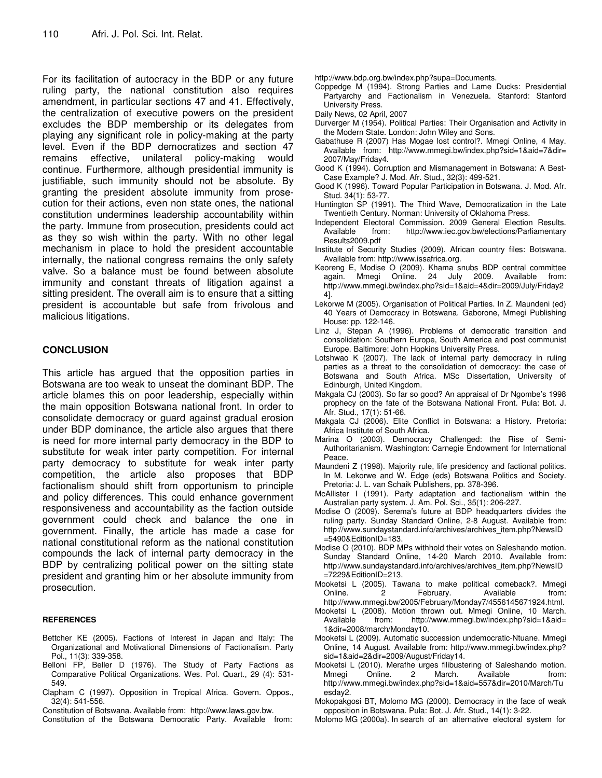For its facilitation of autocracy in the BDP or any future ruling party, the national constitution also requires amendment, in particular sections 47 and 41. Effectively, the centralization of executive powers on the president excludes the BDP membership or its delegates from playing any significant role in policy-making at the party level. Even if the BDP democratizes and section 47 remains effective, unilateral policy-making would continue. Furthermore, although presidential immunity is justifiable, such immunity should not be absolute. By granting the president absolute immunity from prosecution for their actions, even non state ones, the national constitution undermines leadership accountability within the party. Immune from prosecution, presidents could act as they so wish within the party. With no other legal mechanism in place to hold the president accountable internally, the national congress remains the only safety valve. So a balance must be found between absolute immunity and constant threats of litigation against a sitting president. The overall aim is to ensure that a sitting president is accountable but safe from frivolous and malicious litigations.

#### **CONCLUSION**

This article has argued that the opposition parties in Botswana are too weak to unseat the dominant BDP. The article blames this on poor leadership, especially within the main opposition Botswana national front. In order to consolidate democracy or guard against gradual erosion under BDP dominance, the article also argues that there is need for more internal party democracy in the BDP to substitute for weak inter party competition. For internal party democracy to substitute for weak inter party competition, the article also proposes that BDP factionalism should shift from opportunism to principle and policy differences. This could enhance government responsiveness and accountability as the faction outside government could check and balance the one in government. Finally, the article has made a case for national constitutional reform as the national constitution compounds the lack of internal party democracy in the BDP by centralizing political power on the sitting state president and granting him or her absolute immunity from prosecution.

#### **REFERENCES**

- Bettcher KE (2005). Factions of Interest in Japan and Italy: The Organizational and Motivational Dimensions of Factionalism. Party Pol., 11(3): 339-358.
- Belloni FP, Beller D (1976). The Study of Party Factions as Comparative Political Organizations. Wes. Pol. Quart., 29 (4): 531- 549.
- Clapham C (1997). Opposition in Tropical Africa. Govern. Oppos., 32(4): 541-556.

Constitution of Botswana. Available from: http://www.laws.gov.bw.

Constitution of the Botswana Democratic Party. Available from:

http://www.bdp.org.bw/index.php?supa=Documents.

Coppedge M (1994). Strong Parties and Lame Ducks: Presidential Partyarchy and Factionalism in Venezuela. Stanford: Stanford University Press.

Daily News, 02 April, 2007

- Durverger M (1954). Political Parties: Their Organisation and Activity in the Modern State. London: John Wiley and Sons.
- Gabathuse R (2007) Has Mogae lost control?. Mmegi Online, 4 May. Available from: http://www.mmegi.bw/index.php?sid=1&aid=7&dir= 2007/May/Friday4.
- Good K (1994). Corruption and Mismanagement in Botswana: A Best-Case Example? J. Mod. Afr. Stud., 32(3): 499-521.
- Good K (1996). Toward Popular Participation in Botswana. J. Mod. Afr. Stud. 34(1): 53-77.
- Huntington SP (1991). The Third Wave, Democratization in the Late Twentieth Century. Norman: University of Oklahoma Press.
- Independent Electoral Commission. 2009 General Election Results. Available from: http://www.iec.gov.bw/elections/Parliamentary Results2009.pdf
- Institute of Security Studies (2009). African country files: Botswana. Available from: http://www.issafrica.org.
- Keoreng E, Modise O (2009). Khama snubs BDP central committee again. Mmegi Online*.* 24 July 2009. Available from: http://www.mmegi.bw/index.php?sid=1&aid=4&dir=2009/July/Friday2 4].
- Lekorwe M (2005). Organisation of Political Parties. In Z. Maundeni (ed) 40 Years of Democracy in Botswana. Gaborone, Mmegi Publishing House: pp. 122-146.
- Linz J, Stepan A (1996). Problems of democratic transition and consolidation: Southern Europe, South America and post communist Europe. Baltimore: John Hopkins University Press.
- Lotshwao K (2007). The lack of internal party democracy in ruling parties as a threat to the consolidation of democracy: the case of Botswana and South Africa. MSc Dissertation, University of Edinburgh, United Kingdom.
- Makgala CJ (2003). So far so good? An appraisal of Dr Ngombe's 1998 prophecy on the fate of the Botswana National Front. Pula: Bot. J. Afr. Stud., 17(1): 51-66.
- Makgala CJ (2006). Elite Conflict in Botswana: a History. Pretoria: Africa Institute of South Africa.
- Marina O (2003). Democracy Challenged: the Rise of Semi-Authoritarianism. Washington: Carnegie Endowment for International Peace.
- Maundeni Z (1998). Majority rule, life presidency and factional politics. In M. Lekorwe and W. Edge (eds) Botswana Politics and Society. Pretoria: J. L. van Schaik Publishers, pp. 378-396.
- McAllister I (1991). Party adaptation and factionalism within the Australian party system. J. Am. Pol. Sci., 35(1): 206-227.
- Modise O (2009). Serema's future at BDP headquarters divides the ruling party. Sunday Standard Online, 2-8 August. Available from: http://www.sundaystandard.info/archives/archives\_item.php?NewsID =5490&EditionID=183.
- Modise O (2010). BDP MPs withhold their votes on Saleshando motion. Sunday Standard Online, 14-20 March 2010. Available from: http://www.sundaystandard.info/archives/archives\_item.php?NewsID =7229&EditionID=213.
- Mooketsi L (2005). Tawana to make political comeback?. Mmegi Online. 2 February. Available from: http://www.mmegi.bw/2005/February/Monday7/4556145671924.html.
- Mooketsi L (2008). Motion thrown out. Mmegi Online, 10 March. http://www.mmegi.bw/index.php?sid=1&aid= 1&dir=2008/march/Monday10.
- Mooketsi L (2009). Automatic succession undemocratic-Ntuane. Mmegi Online, 14 August. Available from: http://www.mmegi.bw/index.php? sid=1&aid=2&dir=2009/August/Friday14.
- Mooketsi L (2010). Merafhe urges filibustering of Saleshando motion. Available from: http://www.mmegi.bw/index.php?sid=1&aid=557&dir=2010/March/Tu esday2.
- Mokopakgosi BT, Molomo MG (2000). Democracy in the face of weak opposition in Botswana. Pula: Bot. J. Afr. Stud., 14(1): 3-22.
- Molomo MG (2000a). In search of an alternative electoral system for